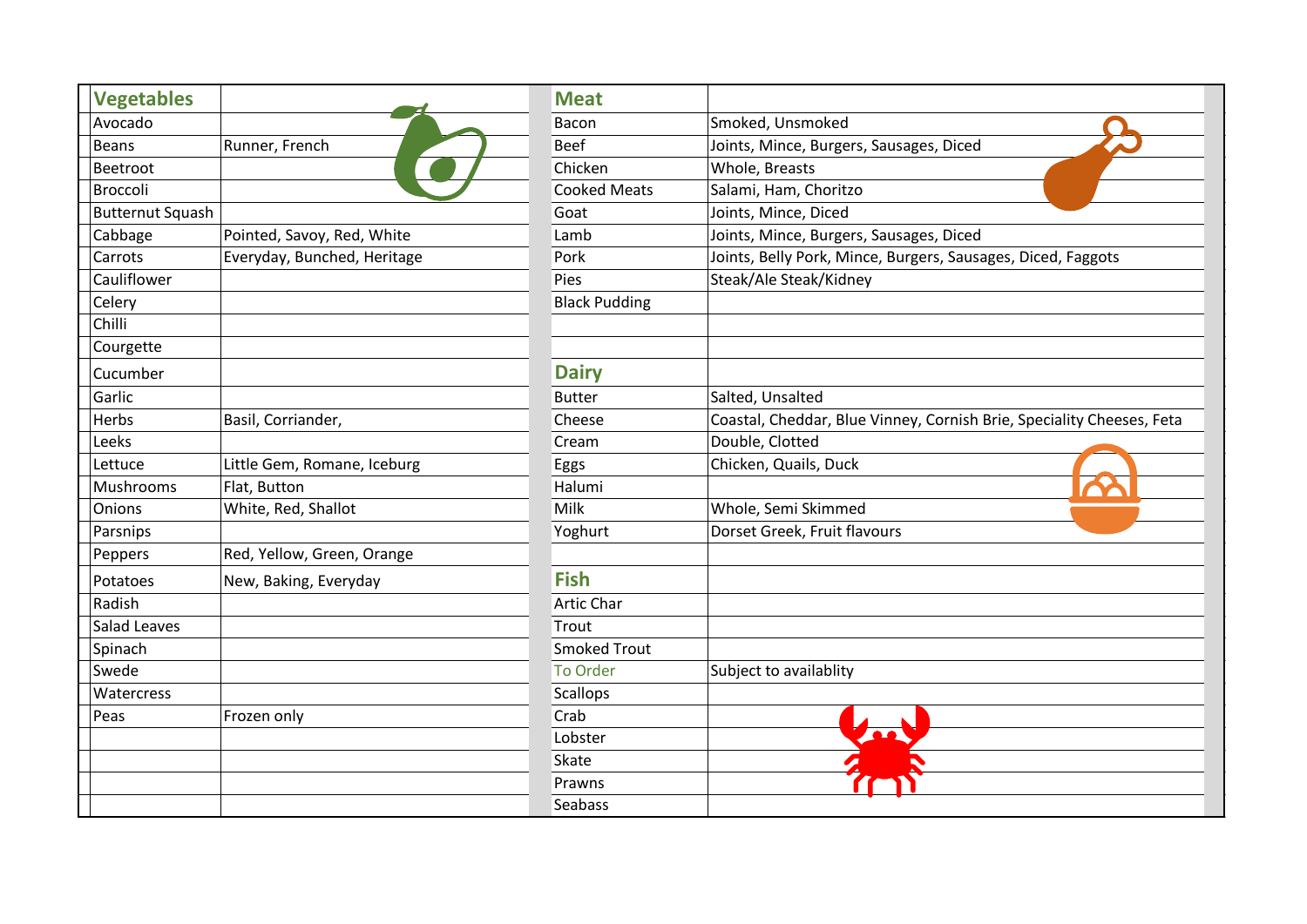| <b>Vegetables</b>       |                             | <b>Meat</b>          |                                                                       |
|-------------------------|-----------------------------|----------------------|-----------------------------------------------------------------------|
| Avocado                 |                             | Bacon                | Smoked, Unsmoked                                                      |
| <b>Beans</b>            | Runner, French              | <b>Beef</b>          | Joints, Mince, Burgers, Sausages, Diced                               |
| Beetroot                |                             | Chicken              | Whole, Breasts                                                        |
| Broccoli                |                             | <b>Cooked Meats</b>  | Salami, Ham, Choritzo                                                 |
| <b>Butternut Squash</b> |                             | Goat                 | Joints, Mince, Diced                                                  |
| Cabbage                 | Pointed, Savoy, Red, White  | Lamb                 | Joints, Mince, Burgers, Sausages, Diced                               |
| Carrots                 | Everyday, Bunched, Heritage | Pork                 | Joints, Belly Pork, Mince, Burgers, Sausages, Diced, Faggots          |
| Cauliflower             |                             | Pies                 | Steak/Ale Steak/Kidney                                                |
| Celery                  |                             | <b>Black Pudding</b> |                                                                       |
| Chilli                  |                             |                      |                                                                       |
| Courgette               |                             |                      |                                                                       |
| Cucumber                |                             | <b>Dairy</b>         |                                                                       |
| Garlic                  |                             | <b>Butter</b>        | Salted, Unsalted                                                      |
| Herbs                   | Basil, Corriander,          | Cheese               | Coastal, Cheddar, Blue Vinney, Cornish Brie, Speciality Cheeses, Feta |
| Leeks                   |                             | Cream                | Double, Clotted                                                       |
| Lettuce                 | Little Gem, Romane, Iceburg | Eggs                 | Chicken, Quails, Duck                                                 |
| Mushrooms               | Flat, Button                | Halumi               |                                                                       |
| Onions                  | White, Red, Shallot         | Milk                 | Whole, Semi Skimmed                                                   |
| Parsnips                |                             | Yoghurt              | Dorset Greek, Fruit flavours                                          |
| Peppers                 | Red, Yellow, Green, Orange  |                      |                                                                       |
| Potatoes                | New, Baking, Everyday       | <b>Fish</b>          |                                                                       |
| Radish                  |                             | <b>Artic Char</b>    |                                                                       |
| <b>Salad Leaves</b>     |                             | Trout                |                                                                       |
| Spinach                 |                             | <b>Smoked Trout</b>  |                                                                       |
| Swede                   |                             | <b>To Order</b>      | Subject to availablity                                                |
| Watercress              |                             | Scallops             |                                                                       |
| Peas                    | Frozen only                 | Crab                 |                                                                       |
|                         |                             | Lobster              |                                                                       |
|                         |                             | Skate                |                                                                       |
|                         |                             | Prawns               |                                                                       |
|                         |                             | Seabass              |                                                                       |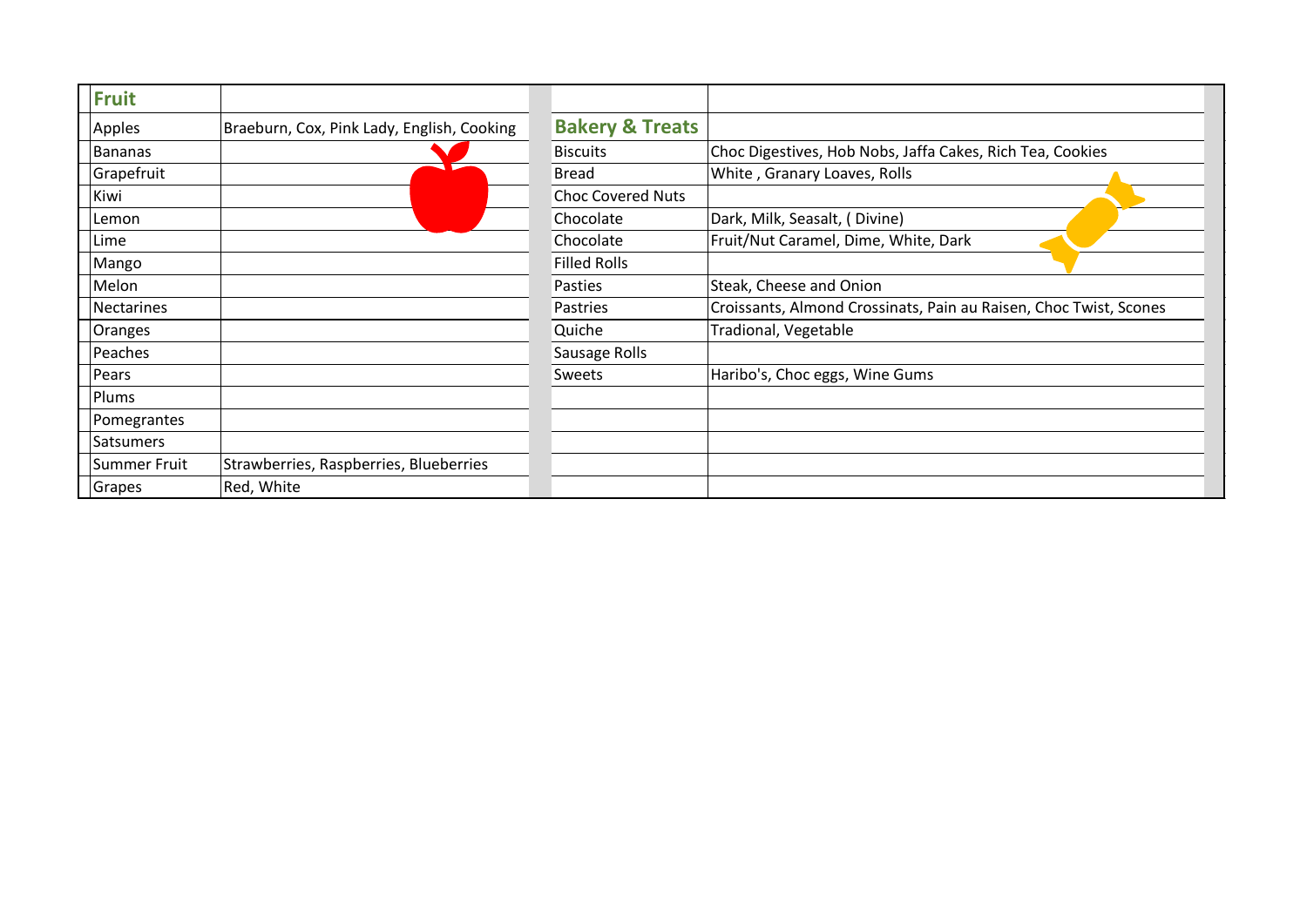| <b>Fruit</b>   |                                            |                            |                                                                   |
|----------------|--------------------------------------------|----------------------------|-------------------------------------------------------------------|
| Apples         | Braeburn, Cox, Pink Lady, English, Cooking | <b>Bakery &amp; Treats</b> |                                                                   |
| <b>Bananas</b> |                                            | <b>Biscuits</b>            | Choc Digestives, Hob Nobs, Jaffa Cakes, Rich Tea, Cookies         |
| Grapefruit     |                                            | <b>Bread</b>               | White, Granary Loaves, Rolls                                      |
| Kiwi           |                                            | <b>Choc Covered Nuts</b>   |                                                                   |
| Lemon          |                                            | Chocolate                  | Dark, Milk, Seasalt, (Divine)                                     |
| Lime           |                                            | Chocolate                  | Fruit/Nut Caramel, Dime, White, Dark                              |
| Mango          |                                            | <b>Filled Rolls</b>        |                                                                   |
| Melon          |                                            | Pasties                    | Steak, Cheese and Onion                                           |
| Nectarines     |                                            | Pastries                   | Croissants, Almond Crossinats, Pain au Raisen, Choc Twist, Scones |
| Oranges        |                                            | Quiche                     | Tradional, Vegetable                                              |
| Peaches        |                                            | Sausage Rolls              |                                                                   |
| Pears          |                                            | Sweets                     | Haribo's, Choc eggs, Wine Gums                                    |
| Plums          |                                            |                            |                                                                   |
| Pomegrantes    |                                            |                            |                                                                   |
| Satsumers      |                                            |                            |                                                                   |
| Summer Fruit   | Strawberries, Raspberries, Blueberries     |                            |                                                                   |
| Grapes         | Red, White                                 |                            |                                                                   |